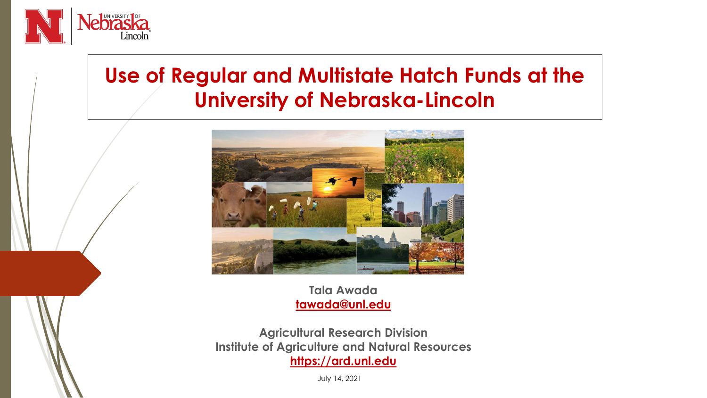

## **Use of Regular and Multistate Hatch Funds at the University of Nebraska-Lincoln**



**Tala Awada [tawada@unl.edu](mailto:tawada@unl.edu)**

**Agricultural Research Division Institute of Agriculture and Natural Resources [https://ard.unl.edu](https://ard.unl.edu/)**

July 14, 2021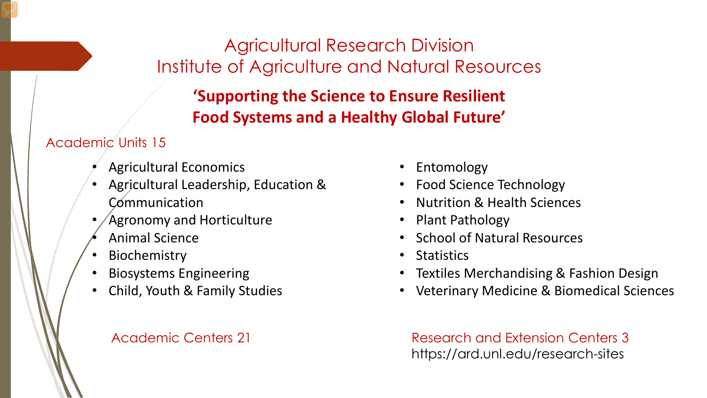### Agricultural Research Division Institute of Agriculture and Natural Resources

### **'Supporting the Science to Ensure Resilient Food Systems and a Healthy Global Future'**

#### Academic Units 15

- Agricultural Economics
- Agricultural Leadership, Education & **Communication**
- Agronomy and Horticulture
- Animal Science
- **Biochemistry**
- Biosystems Engineering
- Child, Youth & Family Studies

#### Academic Centers 21

- Entomology
- Food Science Technology
- Nutrition & Health Sciences
- Plant Pathology
- School of Natural Resources
- Statistics
- Textiles Merchandising & Fashion Design
- Veterinary Medicine & Biomedical Sciences

Research and Extension Centers 3 https://ard.unl.edu/research-sites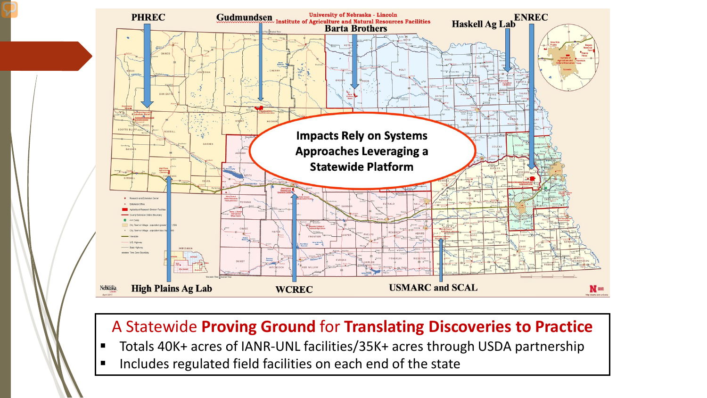

#### A Statewide **Proving Ground** for **Translating Discoveries to Practice**

- Totals 40K+ acres of IANR-UNL facilities/35K+ acres through USDA partnership
- **Includes regulated field facilities on each end of the state**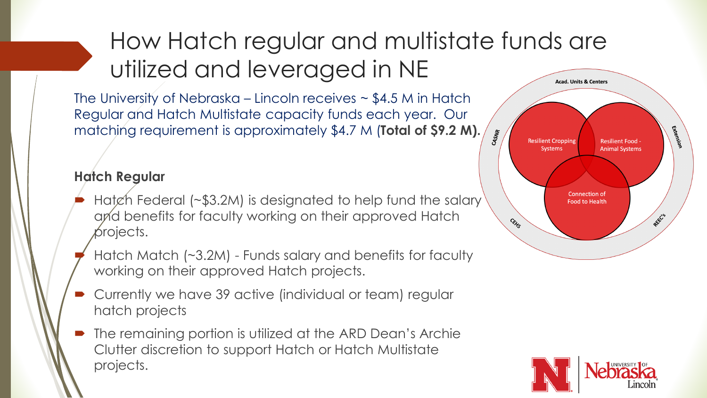#### How Hatch regular and multistate funds are utilized and leveraged in NE **Acad. Units & Centers**

The University of Nebraska – Lincoln receives  $\sim$  \$4.5 M in Hatch Regular and Hatch Multistate capacity funds each year. Our matching requirement is approximately \$4.7 M (**Total of \$9.2 M).**

#### **Hatch Regular**

- Hatch Federal (~\$3.2M) is designated to help fund the salary and benefits for faculty working on their approved Hatch projects.
- Hatch Match (~3.2M) Funds salary and benefits for faculty working on their approved Hatch projects.
- Currently we have 39 active (individual or team) regular hatch projects
- The remaining portion is utilized at the ARD Dean's Archie Clutter discretion to support Hatch or Hatch Multistate projects.



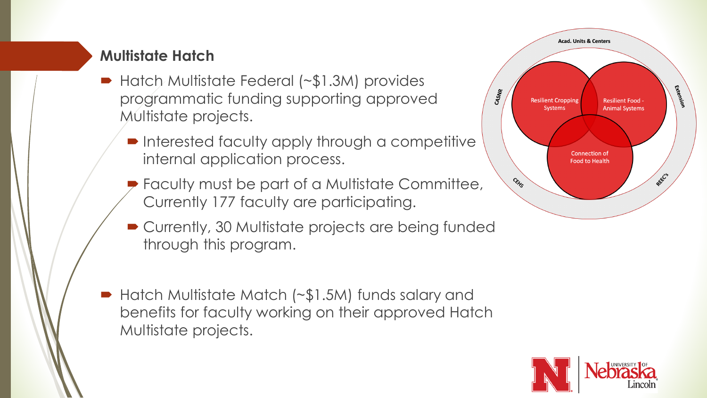#### **Multistate Hatch**

- Hatch Multistate Federal (~\$1.3M) provides programmatic funding supporting approved Multistate projects.
	- **Interested faculty apply through a competitive** internal application process.
	- **P** Faculty must be part of a Multistate Committee, Currently 177 faculty are participating.
	- Currently, 30 Multistate projects are being funded through this program.
- Hatch Multistate Match (~\$1.5M) funds salary and benefits for faculty working on their approved Hatch Multistate projects.



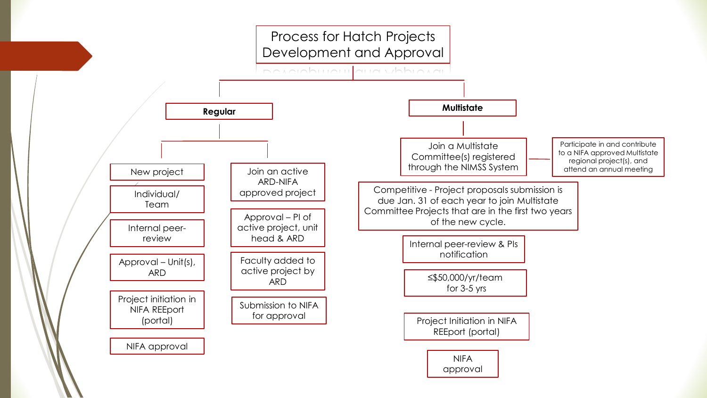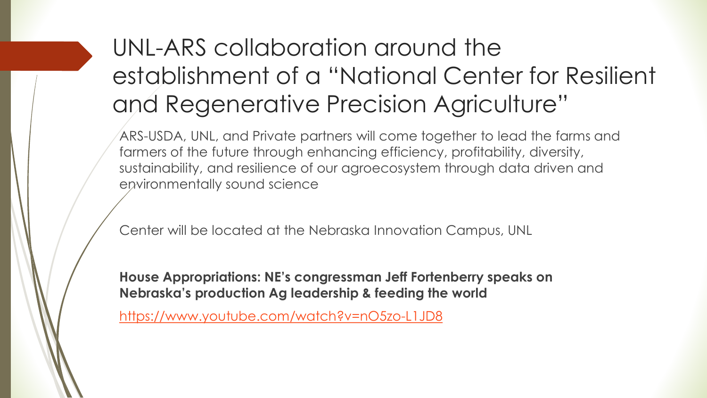# UNL-ARS collaboration around the establishment of a "National Center for Resilient and Regenerative Precision Agriculture"

ARS-USDA, UNL, and Private partners will come together to lead the farms and farmers of the future through enhancing efficiency, profitability, diversity, sustainability, and resilience of our agroecosystem through data driven and environmentally sound science

Center will be located at the Nebraska Innovation Campus, UNL

**House Appropriations: NE's congressman Jeff Fortenberry speaks on Nebraska's production Ag leadership & feeding the world**

<https://www.youtube.com/watch?v=nO5zo-L1JD8>